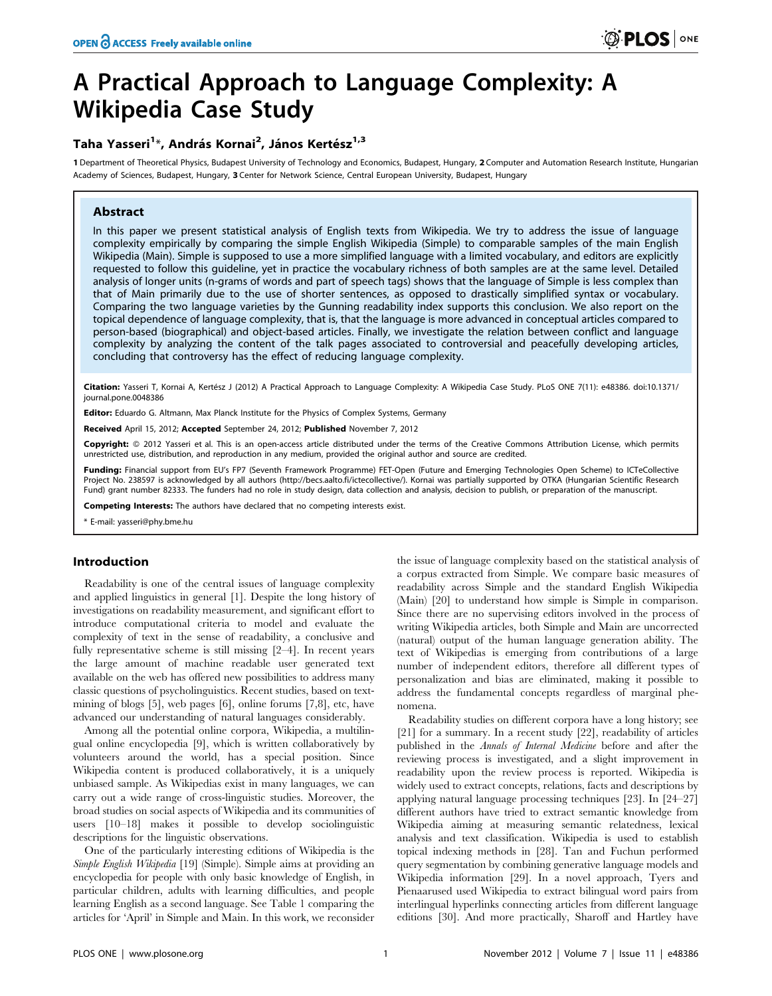# A Practical Approach to Language Complexity: A Wikipedia Case Study

## Taha Yasseri<sup>1</sup>\*, András Kornai<sup>2</sup>, János Kertész<sup>1,3</sup>

1 Department of Theoretical Physics, Budapest University of Technology and Economics, Budapest, Hungary, 2 Computer and Automation Research Institute, Hungarian Academy of Sciences, Budapest, Hungary, 3 Center for Network Science, Central European University, Budapest, Hungary

## Abstract

In this paper we present statistical analysis of English texts from Wikipedia. We try to address the issue of language complexity empirically by comparing the simple English Wikipedia (Simple) to comparable samples of the main English Wikipedia (Main). Simple is supposed to use a more simplified language with a limited vocabulary, and editors are explicitly requested to follow this guideline, yet in practice the vocabulary richness of both samples are at the same level. Detailed analysis of longer units (n-grams of words and part of speech tags) shows that the language of Simple is less complex than that of Main primarily due to the use of shorter sentences, as opposed to drastically simplified syntax or vocabulary. Comparing the two language varieties by the Gunning readability index supports this conclusion. We also report on the topical dependence of language complexity, that is, that the language is more advanced in conceptual articles compared to person-based (biographical) and object-based articles. Finally, we investigate the relation between conflict and language complexity by analyzing the content of the talk pages associated to controversial and peacefully developing articles, concluding that controversy has the effect of reducing language complexity.

Citation: Yasseri T, Kornai A, Kertész J (2012) A Practical Approach to Language Complexity: A Wikipedia Case Study. PLoS ONE 7(11): e48386. doi:10.1371/ journal.pone.0048386

Editor: Eduardo G. Altmann, Max Planck Institute for the Physics of Complex Systems, Germany

Received April 15, 2012; Accepted September 24, 2012; Published November 7, 2012

**Copyright:** © 2012 Yasseri et al. This is an open-access article distributed under the terms of the Creative Commons Attribution License, which permits unrestricted use, distribution, and reproduction in any medium, provided the original author and source are credited.

Funding: Financial support from EU's FP7 (Seventh Framework Programme) FET-Open (Future and Emerging Technologies Open Scheme) to ICTeCollective Project No. 238597 is acknowledged by all authors (http://becs.aalto.fi/ictecollective/). Kornai was partially supported by OTKA (Hungarian Scientific Research Fund) grant number 82333. The funders had no role in study design, data collection and analysis, decision to publish, or preparation of the manuscript.

Competing Interests: The authors have declared that no competing interests exist.

\* E-mail: yasseri@phy.bme.hu

## Introduction

Readability is one of the central issues of language complexity and applied linguistics in general [1]. Despite the long history of investigations on readability measurement, and significant effort to introduce computational criteria to model and evaluate the complexity of text in the sense of readability, a conclusive and fully representative scheme is still missing [2–4]. In recent years the large amount of machine readable user generated text available on the web has offered new possibilities to address many classic questions of psycholinguistics. Recent studies, based on textmining of blogs [5], web pages [6], online forums [7,8], etc, have advanced our understanding of natural languages considerably.

Among all the potential online corpora, Wikipedia, a multilingual online encyclopedia [9], which is written collaboratively by volunteers around the world, has a special position. Since Wikipedia content is produced collaboratively, it is a uniquely unbiased sample. As Wikipedias exist in many languages, we can carry out a wide range of cross-linguistic studies. Moreover, the broad studies on social aspects of Wikipedia and its communities of users [10–18] makes it possible to develop sociolinguistic descriptions for the linguistic observations.

One of the particularly interesting editions of Wikipedia is the Simple English Wikipedia [19] (Simple). Simple aims at providing an encyclopedia for people with only basic knowledge of English, in particular children, adults with learning difficulties, and people learning English as a second language. See Table 1 comparing the articles for 'April' in Simple and Main. In this work, we reconsider the issue of language complexity based on the statistical analysis of a corpus extracted from Simple. We compare basic measures of readability across Simple and the standard English Wikipedia (Main) [20] to understand how simple is Simple in comparison. Since there are no supervising editors involved in the process of writing Wikipedia articles, both Simple and Main are uncorrected (natural) output of the human language generation ability. The text of Wikipedias is emerging from contributions of a large number of independent editors, therefore all different types of personalization and bias are eliminated, making it possible to address the fundamental concepts regardless of marginal phenomena.

Readability studies on different corpora have a long history; see [21] for a summary. In a recent study [22], readability of articles published in the Annals of Internal Medicine before and after the reviewing process is investigated, and a slight improvement in readability upon the review process is reported. Wikipedia is widely used to extract concepts, relations, facts and descriptions by applying natural language processing techniques [23]. In [24–27] different authors have tried to extract semantic knowledge from Wikipedia aiming at measuring semantic relatedness, lexical analysis and text classification. Wikipedia is used to establish topical indexing methods in [28]. Tan and Fuchun performed query segmentation by combining generative language models and Wikipedia information [29]. In a novel approach, Tyers and Pienaarused used Wikipedia to extract bilingual word pairs from interlingual hyperlinks connecting articles from different language editions [30]. And more practically, Sharoff and Hartley have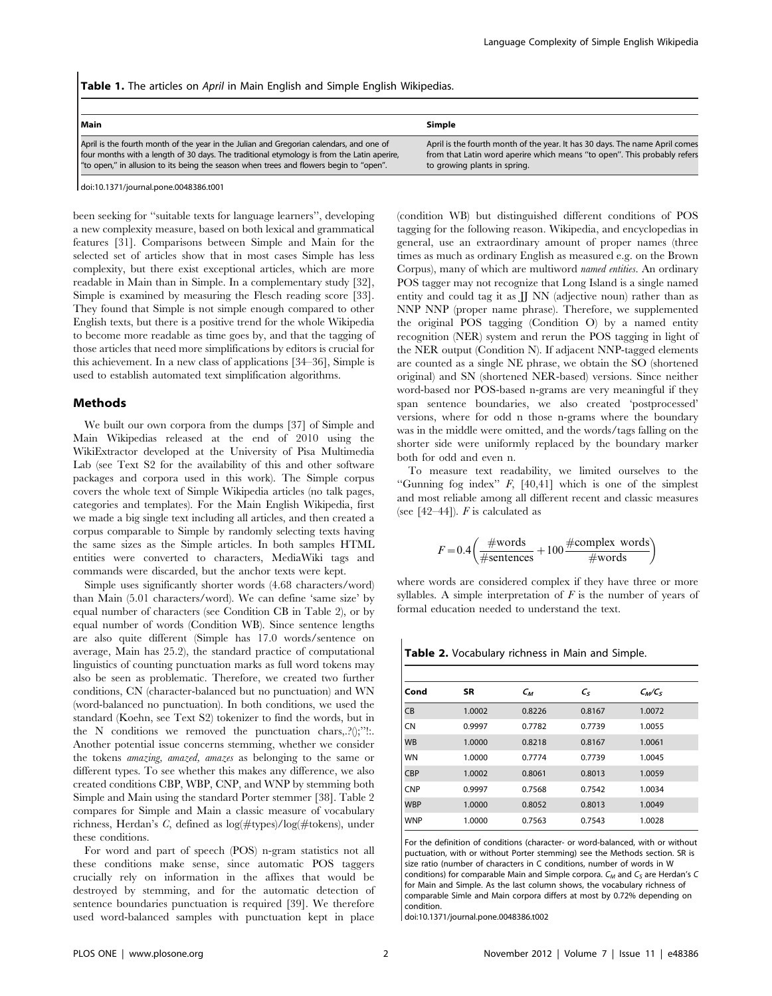Table 1. The articles on April in Main English and Simple English Wikipedias.

| l Main                                                                                                                                                                                                                                                                          | Simple                                                                                                                                                                                  |
|---------------------------------------------------------------------------------------------------------------------------------------------------------------------------------------------------------------------------------------------------------------------------------|-----------------------------------------------------------------------------------------------------------------------------------------------------------------------------------------|
| April is the fourth month of the year in the Julian and Gregorian calendars, and one of<br>four months with a length of 30 days. The traditional etymology is from the Latin aperire,<br>"to open," in allusion to its being the season when trees and flowers begin to "open". | April is the fourth month of the year. It has 30 days. The name April comes<br>from that Latin word aperire which means "to open". This probably refers<br>to growing plants in spring. |

doi:10.1371/journal.pone.0048386.t001

been seeking for ''suitable texts for language learners'', developing a new complexity measure, based on both lexical and grammatical features [31]. Comparisons between Simple and Main for the selected set of articles show that in most cases Simple has less complexity, but there exist exceptional articles, which are more readable in Main than in Simple. In a complementary study [32], Simple is examined by measuring the Flesch reading score [33]. They found that Simple is not simple enough compared to other English texts, but there is a positive trend for the whole Wikipedia to become more readable as time goes by, and that the tagging of those articles that need more simplifications by editors is crucial for this achievement. In a new class of applications [34–36], Simple is used to establish automated text simplification algorithms.

#### Methods

We built our own corpora from the dumps [37] of Simple and Main Wikipedias released at the end of 2010 using the WikiExtractor developed at the University of Pisa Multimedia Lab (see Text S2 for the availability of this and other software packages and corpora used in this work). The Simple corpus covers the whole text of Simple Wikipedia articles (no talk pages, categories and templates). For the Main English Wikipedia, first we made a big single text including all articles, and then created a corpus comparable to Simple by randomly selecting texts having the same sizes as the Simple articles. In both samples HTML entities were converted to characters, MediaWiki tags and commands were discarded, but the anchor texts were kept.

Simple uses significantly shorter words (4.68 characters/word) than Main (5.01 characters/word). We can define 'same size' by equal number of characters (see Condition CB in Table 2), or by equal number of words (Condition WB). Since sentence lengths are also quite different (Simple has 17.0 words/sentence on average, Main has 25.2), the standard practice of computational linguistics of counting punctuation marks as full word tokens may also be seen as problematic. Therefore, we created two further conditions, CN (character-balanced but no punctuation) and WN (word-balanced no punctuation). In both conditions, we used the standard (Koehn, see Text S2) tokenizer to find the words, but in the N conditions we removed the punctuation chars,.?();"!:. Another potential issue concerns stemming, whether we consider the tokens amazing, amazed, amazes as belonging to the same or different types. To see whether this makes any difference, we also created conditions CBP, WBP, CNP, and WNP by stemming both Simple and Main using the standard Porter stemmer [38]. Table 2 compares for Simple and Main a classic measure of vocabulary richness, Herdan's C, defined as log(#types)/log(#tokens), under these conditions.

For word and part of speech (POS) n-gram statistics not all these conditions make sense, since automatic POS taggers crucially rely on information in the affixes that would be destroyed by stemming, and for the automatic detection of sentence boundaries punctuation is required [39]. We therefore used word-balanced samples with punctuation kept in place

(condition WB) but distinguished different conditions of POS tagging for the following reason. Wikipedia, and encyclopedias in general, use an extraordinary amount of proper names (three times as much as ordinary English as measured e.g. on the Brown Corpus), many of which are multiword named entities. An ordinary POS tagger may not recognize that Long Island is a single named entity and could tag it as JJ NN (adjective noun) rather than as NNP NNP (proper name phrase). Therefore, we supplemented the original POS tagging (Condition O) by a named entity recognition (NER) system and rerun the POS tagging in light of the NER output (Condition N). If adjacent NNP-tagged elements are counted as a single NE phrase, we obtain the SO (shortened original) and SN (shortened NER-based) versions. Since neither word-based nor POS-based n-grams are very meaningful if they span sentence boundaries, we also created 'postprocessed' versions, where for odd n those n-grams where the boundary was in the middle were omitted, and the words/tags falling on the shorter side were uniformly replaced by the boundary marker both for odd and even n.

To measure text readability, we limited ourselves to the "Gunning fog index"  $F$ , [40,41] which is one of the simplest and most reliable among all different recent and classic measures (see [42–44]).  $F$  is calculated as

$$
F = 0.4 \left( \frac{\text{\#words}}{\text{\#sentences}} + 100 \frac{\text{\#complex words}}{\text{\#words}} \right)
$$

where words are considered complex if they have three or more syllables. A simple interpretation of  $F$  is the number of years of formal education needed to understand the text.

Table 2. Vocabulary richness in Main and Simple.

| Cond       | SR     | $\mathsf{C}_M$ | $\mathsf{C}_{\mathsf{S}}$ | $C_M/C_S$ |
|------------|--------|----------------|---------------------------|-----------|
| CB         | 1.0002 | 0.8226         | 0.8167                    | 1.0072    |
| <b>CN</b>  | 0.9997 | 0.7782         | 0.7739                    | 1.0055    |
| <b>WB</b>  | 1.0000 | 0.8218         | 0.8167                    | 1.0061    |
| <b>WN</b>  | 1.0000 | 0.7774         | 0.7739                    | 1.0045    |
| <b>CBP</b> | 1.0002 | 0.8061         | 0.8013                    | 1.0059    |
| <b>CNP</b> | 0.9997 | 0.7568         | 0.7542                    | 1.0034    |
| <b>WBP</b> | 1.0000 | 0.8052         | 0.8013                    | 1.0049    |
| <b>WNP</b> | 1.0000 | 0.7563         | 0.7543                    | 1.0028    |

For the definition of conditions (character- or word-balanced, with or without puctuation, with or without Porter stemming) see the Methods section. SR is size ratio (number of characters in C conditions, number of words in W conditions) for comparable Main and Simple corpora.  $C_M$  and  $C_S$  are Herdan's C for Main and Simple. As the last column shows, the vocabulary richness of comparable Simle and Main corpora differs at most by 0.72% depending on condition.

doi:10.1371/journal.pone.0048386.t002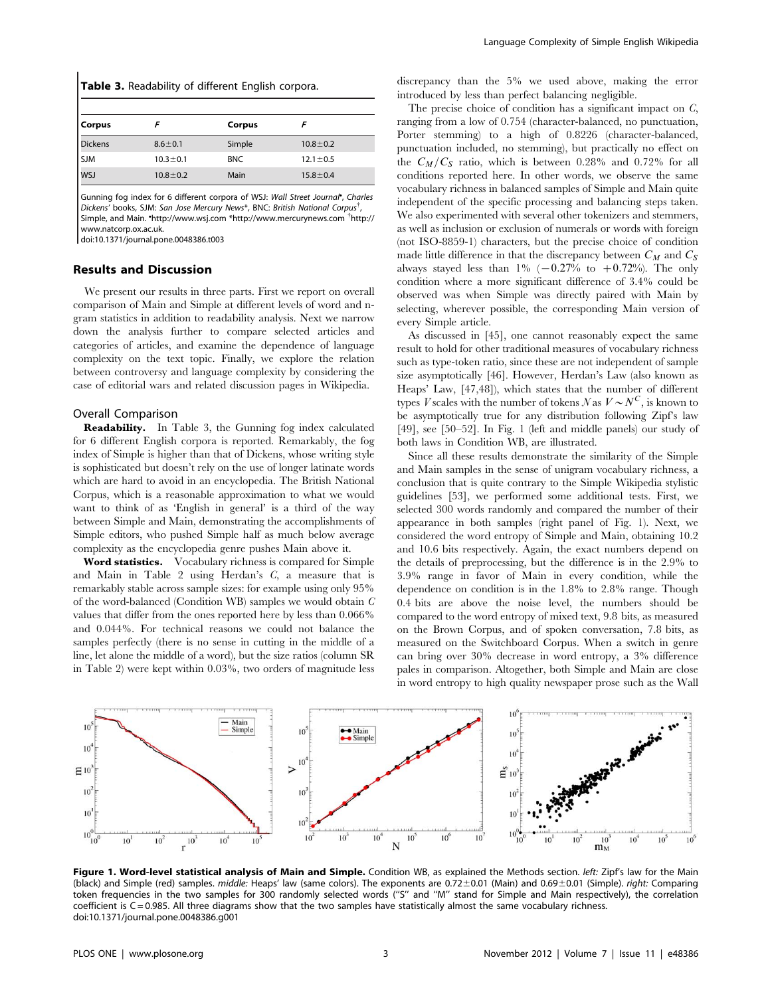| Table 3. Readability of different English corpora. |                |            |                |  |
|----------------------------------------------------|----------------|------------|----------------|--|
| Corpus                                             | F              | Corpus     | F              |  |
| <b>Dickens</b>                                     | $8.6 \pm 0.1$  | Simple     | $10.8 \pm 0.2$ |  |
| <b>SJM</b>                                         | $10.3 \pm 0.1$ | <b>BNC</b> | $12.1 \pm 0.5$ |  |
| <b>WSJ</b>                                         | $10.8 + 0.2$   | Main       | $15.8 \pm 0.4$ |  |

Gunning fog index for 6 different corpora of WSJ: Wall Street Journal<sup>\*</sup>, Charles Dickens' books, SJM: San Jose Mercury News\*, BNC: British National Corpus<sup>†</sup>, Simple, and Main. \*http://www.wsj.com \*http://www.mercurynews.com <sup>†</sup>http:// www.natcorp.ox.ac.uk.

doi:10.1371/journal.pone.0048386.t003

## Results and Discussion

We present our results in three parts. First we report on overall comparison of Main and Simple at different levels of word and ngram statistics in addition to readability analysis. Next we narrow down the analysis further to compare selected articles and categories of articles, and examine the dependence of language complexity on the text topic. Finally, we explore the relation between controversy and language complexity by considering the case of editorial wars and related discussion pages in Wikipedia.

#### Overall Comparison

Readability. In Table 3, the Gunning fog index calculated for 6 different English corpora is reported. Remarkably, the fog index of Simple is higher than that of Dickens, whose writing style is sophisticated but doesn't rely on the use of longer latinate words which are hard to avoid in an encyclopedia. The British National Corpus, which is a reasonable approximation to what we would want to think of as 'English in general' is a third of the way between Simple and Main, demonstrating the accomplishments of Simple editors, who pushed Simple half as much below average complexity as the encyclopedia genre pushes Main above it.

Word statistics. Vocabulary richness is compared for Simple and Main in Table 2 using Herdan's C, a measure that is remarkably stable across sample sizes: for example using only 95% of the word-balanced (Condition WB) samples we would obtain C values that differ from the ones reported here by less than 0.066% and 0.044%. For technical reasons we could not balance the samples perfectly (there is no sense in cutting in the middle of a line, let alone the middle of a word), but the size ratios (column SR in Table 2) were kept within 0.03%, two orders of magnitude less

discrepancy than the 5% we used above, making the error introduced by less than perfect balancing negligible.

The precise choice of condition has a significant impact on C, ranging from a low of 0.754 (character-balanced, no punctuation, Porter stemming) to a high of 0.8226 (character-balanced, punctuation included, no stemming), but practically no effect on the  $C_M/C_S$  ratio, which is between 0.28% and 0.72% for all conditions reported here. In other words, we observe the same vocabulary richness in balanced samples of Simple and Main quite independent of the specific processing and balancing steps taken. We also experimented with several other tokenizers and stemmers, as well as inclusion or exclusion of numerals or words with foreign (not ISO-8859-1) characters, but the precise choice of condition made little difference in that the discrepancy between  $C_M$  and  $C_S$ always stayed less than 1%  $(-0.27\% \text{ to } +0.72\%)$ . The only condition where a more significant difference of 3.4% could be observed was when Simple was directly paired with Main by selecting, wherever possible, the corresponding Main version of every Simple article.

As discussed in [45], one cannot reasonably expect the same result to hold for other traditional measures of vocabulary richness such as type-token ratio, since these are not independent of sample size asymptotically [46]. However, Herdan's Law (also known as Heaps' Law, [47,48]), which states that the number of different types V scales with the number of tokens  $N$  as  $V \sim N^C$ , is known to be asymptotically true for any distribution following Zipf's law [49], see [50–52]. In Fig. 1 (left and middle panels) our study of both laws in Condition WB, are illustrated.

Since all these results demonstrate the similarity of the Simple and Main samples in the sense of unigram vocabulary richness, a conclusion that is quite contrary to the Simple Wikipedia stylistic guidelines [53], we performed some additional tests. First, we selected 300 words randomly and compared the number of their appearance in both samples (right panel of Fig. 1). Next, we considered the word entropy of Simple and Main, obtaining 10.2 and 10.6 bits respectively. Again, the exact numbers depend on the details of preprocessing, but the difference is in the 2.9% to 3.9% range in favor of Main in every condition, while the dependence on condition is in the 1.8% to 2.8% range. Though 0.4 bits are above the noise level, the numbers should be compared to the word entropy of mixed text, 9.8 bits, as measured on the Brown Corpus, and of spoken conversation, 7.8 bits, as measured on the Switchboard Corpus. When a switch in genre can bring over 30% decrease in word entropy, a 3% difference pales in comparison. Altogether, both Simple and Main are close in word entropy to high quality newspaper prose such as the Wall



Figure 1. Word-level statistical analysis of Main and Simple. Condition WB, as explained the Methods section. left: Zipf's law for the Main (black) and Simple (red) samples. *middle:* Heaps' law (same colors). The exponents are 0.72 $\pm$ 0.01 (Main) and 0.69 $\pm$ 0.01 (Simple). *right:* Comparing token frequencies in the two samples for 300 randomly selected words (''S'' and ''M'' stand for Simple and Main respectively), the correlation coefficient is C = 0.985. All three diagrams show that the two samples have statistically almost the same vocabulary richness. doi:10.1371/journal.pone.0048386.g001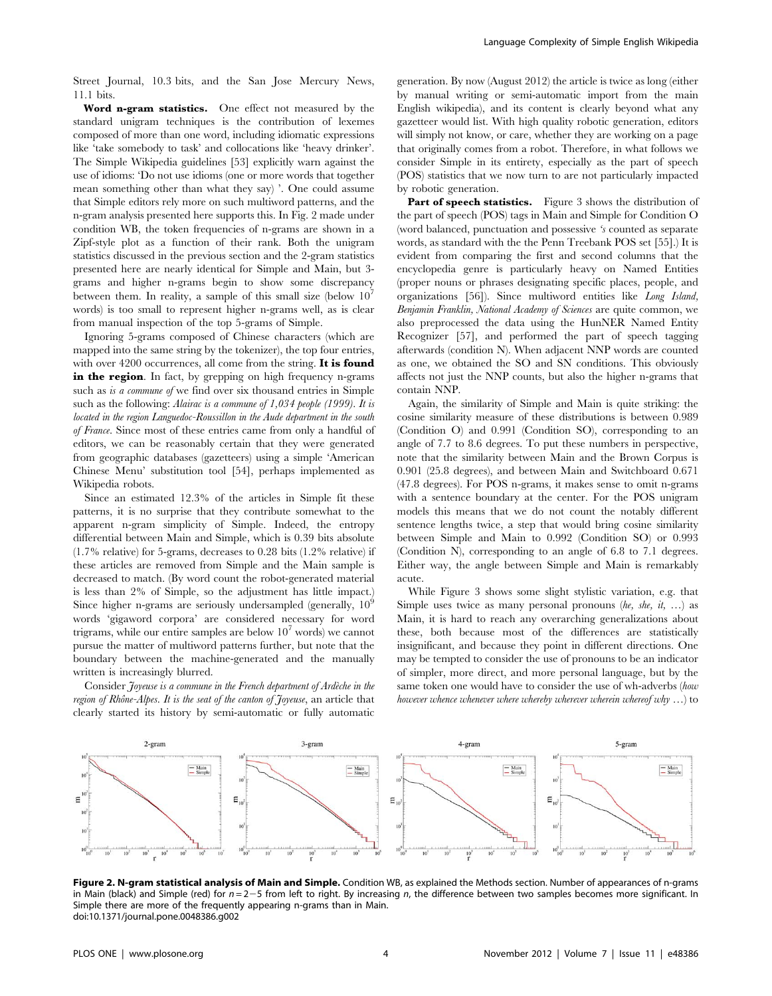Street Journal, 10.3 bits, and the San Jose Mercury News, 11.1 bits.

Word n-gram statistics. One effect not measured by the standard unigram techniques is the contribution of lexemes composed of more than one word, including idiomatic expressions like 'take somebody to task' and collocations like 'heavy drinker'. The Simple Wikipedia guidelines [53] explicitly warn against the use of idioms: 'Do not use idioms (one or more words that together mean something other than what they say) '. One could assume that Simple editors rely more on such multiword patterns, and the n-gram analysis presented here supports this. In Fig. 2 made under condition WB, the token frequencies of n-grams are shown in a Zipf-style plot as a function of their rank. Both the unigram statistics discussed in the previous section and the 2-gram statistics presented here are nearly identical for Simple and Main, but 3 grams and higher n-grams begin to show some discrepancy between them. In reality, a sample of this small size (below  $10<sup>7</sup>$ words) is too small to represent higher n-grams well, as is clear from manual inspection of the top 5-grams of Simple.

Ignoring 5-grams composed of Chinese characters (which are mapped into the same string by the tokenizer), the top four entries, with over 4200 occurrences, all come from the string. It is found in the region. In fact, by grepping on high frequency n-grams such as is a commune of we find over six thousand entries in Simple such as the following: Alairac is a commune of 1,034 people (1999). It is located in the region Languedoc-Roussillon in the Aude department in the south of France. Since most of these entries came from only a handful of editors, we can be reasonably certain that they were generated from geographic databases (gazetteers) using a simple 'American Chinese Menu' substitution tool [54], perhaps implemented as Wikipedia robots.

Since an estimated 12.3% of the articles in Simple fit these patterns, it is no surprise that they contribute somewhat to the apparent n-gram simplicity of Simple. Indeed, the entropy differential between Main and Simple, which is 0.39 bits absolute (1.7% relative) for 5-grams, decreases to 0.28 bits (1.2% relative) if these articles are removed from Simple and the Main sample is decreased to match. (By word count the robot-generated material is less than 2% of Simple, so the adjustment has little impact.) Since higher n-grams are seriously undersampled (generally,  $10<sup>9</sup>$ words 'gigaword corpora' are considered necessary for word trigrams, while our entire samples are below  $10<sup>7</sup>$  words) we cannot pursue the matter of multiword patterns further, but note that the boundary between the machine-generated and the manually written is increasingly blurred.

Consider Joyeuse is a commune in the French department of Ardèche in the region of Rhône-Alpes. It is the seat of the canton of Joyeuse, an article that clearly started its history by semi-automatic or fully automatic

generation. By now (August 2012) the article is twice as long (either by manual writing or semi-automatic import from the main English wikipedia), and its content is clearly beyond what any gazetteer would list. With high quality robotic generation, editors will simply not know, or care, whether they are working on a page that originally comes from a robot. Therefore, in what follows we consider Simple in its entirety, especially as the part of speech (POS) statistics that we now turn to are not particularly impacted by robotic generation.

Part of speech statistics. Figure 3 shows the distribution of the part of speech (POS) tags in Main and Simple for Condition O (word balanced, punctuation and possessive 's counted as separate words, as standard with the the Penn Treebank POS set [55].) It is evident from comparing the first and second columns that the encyclopedia genre is particularly heavy on Named Entities (proper nouns or phrases designating specific places, people, and organizations [56]). Since multiword entities like Long Island, Benjamin Franklin, National Academy of Sciences are quite common, we also preprocessed the data using the HunNER Named Entity Recognizer [57], and performed the part of speech tagging afterwards (condition N). When adjacent NNP words are counted as one, we obtained the SO and SN conditions. This obviously affects not just the NNP counts, but also the higher n-grams that contain NNP.

Again, the similarity of Simple and Main is quite striking: the cosine similarity measure of these distributions is between 0.989 (Condition O) and 0.991 (Condition SO), corresponding to an angle of 7.7 to 8.6 degrees. To put these numbers in perspective, note that the similarity between Main and the Brown Corpus is 0.901 (25.8 degrees), and between Main and Switchboard 0.671 (47.8 degrees). For POS n-grams, it makes sense to omit n-grams with a sentence boundary at the center. For the POS unigram models this means that we do not count the notably different sentence lengths twice, a step that would bring cosine similarity between Simple and Main to 0.992 (Condition SO) or 0.993 (Condition N), corresponding to an angle of 6.8 to 7.1 degrees. Either way, the angle between Simple and Main is remarkably acute.

While Figure 3 shows some slight stylistic variation, e.g. that Simple uses twice as many personal pronouns (he, she, it, ...) as Main, it is hard to reach any overarching generalizations about these, both because most of the differences are statistically insignificant, and because they point in different directions. One may be tempted to consider the use of pronouns to be an indicator of simpler, more direct, and more personal language, but by the same token one would have to consider the use of wh-adverbs (how however whence whenever where whereby wherever wherein whereof why  $\ldots$ ) to



Figure 2. N-gram statistical analysis of Main and Simple. Condition WB, as explained the Methods section. Number of appearances of n-grams in Main (black) and Simple (red) for  $n = 2-5$  from left to right. By increasing n, the difference between two samples becomes more significant. In Simple there are more of the frequently appearing n-grams than in Main. doi:10.1371/journal.pone.0048386.g002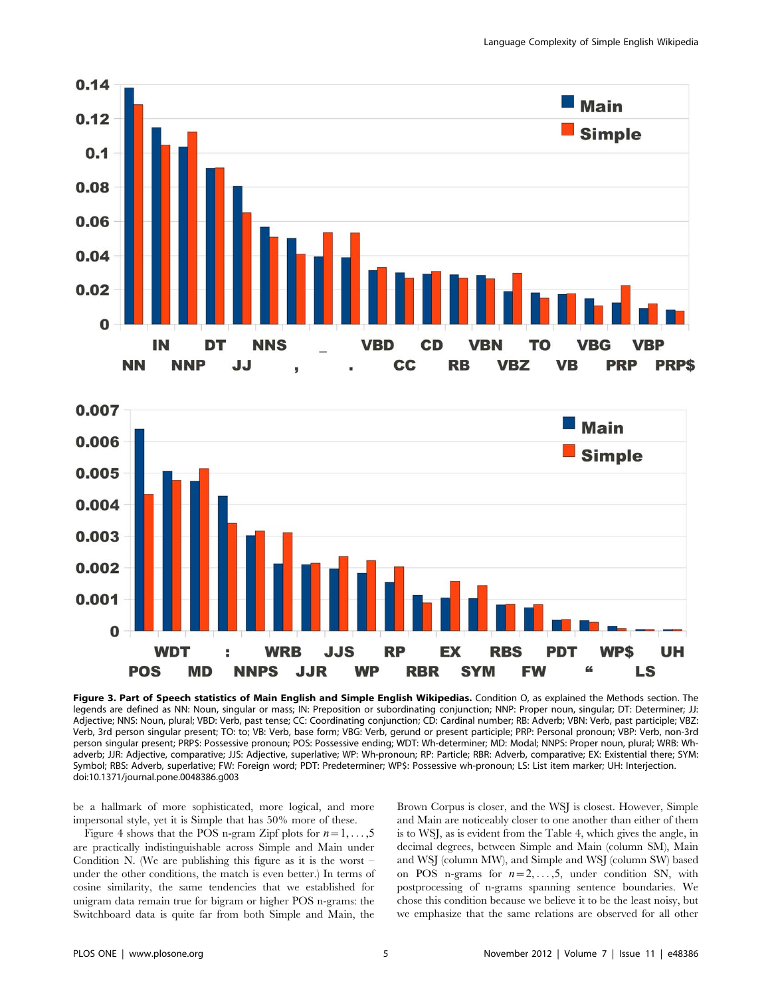



Figure 3. Part of Speech statistics of Main English and Simple English Wikipedias. Condition O, as explained the Methods section. The legends are defined as NN: Noun, singular or mass; IN: Preposition or subordinating conjunction; NNP: Proper noun, singular; DT: Determiner; JJ: Adjective; NNS: Noun, plural; VBD: Verb, past tense; CC: Coordinating conjunction; CD: Cardinal number; RB: Adverb; VBN: Verb, past participle; VBZ: Verb, 3rd person singular present; TO: to; VB: Verb, base form; VBG: Verb, gerund or present participle; PRP: Personal pronoun; VBP: Verb, non-3rd person singular present; PRP\$: Possessive pronoun; POS: Possessive ending; WDT: Wh-determiner; MD: Modal; NNPS: Proper noun, plural; WRB: Whadverb; JJR: Adjective, comparative; JJS: Adjective, superlative; WP: Wh-pronoun; RP: Particle; RBR: Adverb, comparative; EX: Existential there; SYM: Symbol; RBS: Adverb, superlative; FW: Foreign word; PDT: Predeterminer; WP\$: Possessive wh-pronoun; LS: List item marker; UH: Interjection. doi:10.1371/journal.pone.0048386.g003

be a hallmark of more sophisticated, more logical, and more impersonal style, yet it is Simple that has 50% more of these.

Figure 4 shows that the POS n-gram Zipf plots for  $n=1, \ldots, 5$ are practically indistinguishable across Simple and Main under Condition N. (We are publishing this figure as it is the worst  $$ under the other conditions, the match is even better.) In terms of cosine similarity, the same tendencies that we established for unigram data remain true for bigram or higher POS n-grams: the Switchboard data is quite far from both Simple and Main, the

Brown Corpus is closer, and the WSJ is closest. However, Simple and Main are noticeably closer to one another than either of them is to WSJ, as is evident from the Table 4, which gives the angle, in decimal degrees, between Simple and Main (column SM), Main and WSJ (column MW), and Simple and WSJ (column SW) based on POS n-grams for  $n=2,\ldots,5$ , under condition SN, with postprocessing of n-grams spanning sentence boundaries. We chose this condition because we believe it to be the least noisy, but we emphasize that the same relations are observed for all other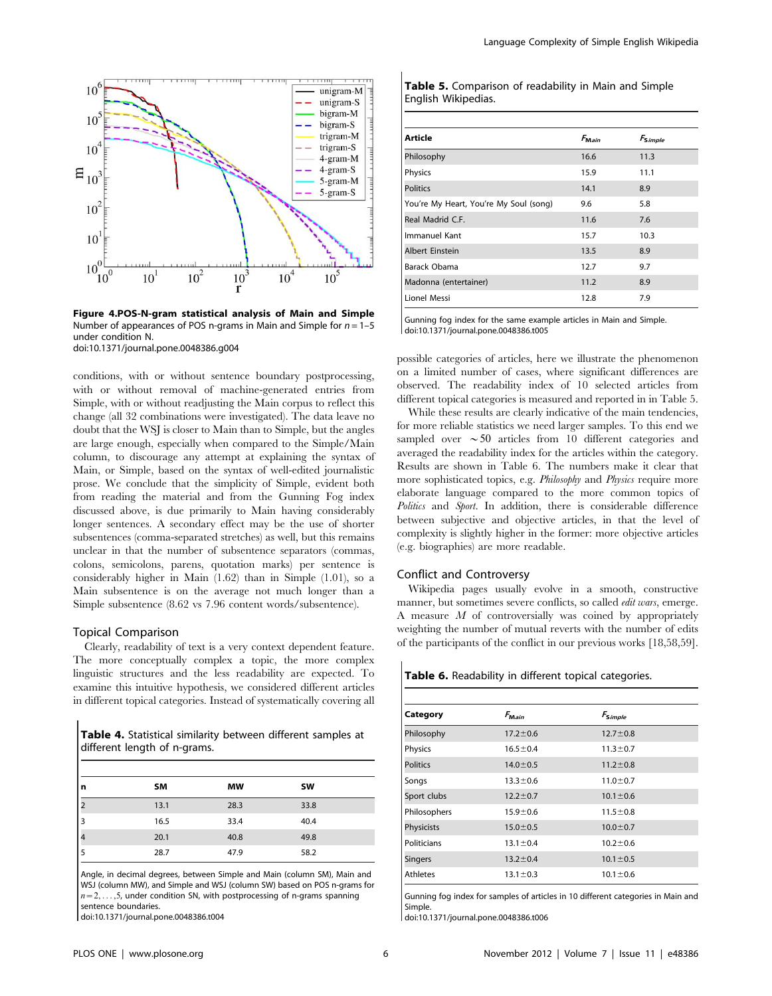

Figure 4.POS-N-gram statistical analysis of Main and Simple Number of appearances of POS n-grams in Main and Simple for  $n = 1-5$ under condition N. doi:10.1371/journal.pone.0048386.g004

conditions, with or without sentence boundary postprocessing, with or without removal of machine-generated entries from Simple, with or without readjusting the Main corpus to reflect this change (all 32 combinations were investigated). The data leave no doubt that the WSJ is closer to Main than to Simple, but the angles are large enough, especially when compared to the Simple/Main column, to discourage any attempt at explaining the syntax of Main, or Simple, based on the syntax of well-edited journalistic prose. We conclude that the simplicity of Simple, evident both from reading the material and from the Gunning Fog index discussed above, is due primarily to Main having considerably longer sentences. A secondary effect may be the use of shorter subsentences (comma-separated stretches) as well, but this remains unclear in that the number of subsentence separators (commas, colons, semicolons, parens, quotation marks) per sentence is considerably higher in Main (1.62) than in Simple (1.01), so a Main subsentence is on the average not much longer than a Simple subsentence (8.62 vs 7.96 content words/subsentence).

#### Topical Comparison

Clearly, readability of text is a very context dependent feature. The more conceptually complex a topic, the more complex linguistic structures and the less readability are expected. To examine this intuitive hypothesis, we considered different articles in different topical categories. Instead of systematically covering all

Table 4. Statistical similarity between different samples at different length of n-grams.

| l n                       | <b>SM</b> | <b>MW</b> | <b>SW</b> |
|---------------------------|-----------|-----------|-----------|
| 12                        | 13.1      | 28.3      | 33.8      |
| l3                        | 16.5      | 33.4      | 40.4      |
| $\vert$ 4                 | 20.1      | 40.8      | 49.8      |
| $\overline{\mathsf{I}}_5$ | 28.7      | 47.9      | 58.2      |

Angle, in decimal degrees, between Simple and Main (column SM), Main and WSJ (column MW), and Simple and WSJ (column SW) based on POS n-grams for  $n=2, \ldots, 5$ , under condition SN, with postprocessing of n-grams spanning sentence boundaries.

doi:10.1371/journal.pone.0048386.t004

| <b>Table 5.</b> Comparison of readability in Main and Simple |  |  |
|--------------------------------------------------------------|--|--|
| English Wikipedias.                                          |  |  |

| <b>Article</b>                         | $F_{\text{Main}}$ | $F_{Simple}$ |
|----------------------------------------|-------------------|--------------|
| Philosophy                             | 16.6              | 11.3         |
| Physics                                | 15.9              | 11.1         |
| <b>Politics</b>                        | 14.1              | 8.9          |
| You're My Heart, You're My Soul (song) | 9.6               | 5.8          |
| Real Madrid C.F.                       | 11.6              | 7.6          |
| Immanuel Kant                          | 15.7              | 10.3         |
| <b>Albert Einstein</b>                 | 13.5              | 8.9          |
| Barack Obama                           | 12.7              | 9.7          |
| Madonna (entertainer)                  | 11.2              | 8.9          |
| Lionel Messi                           | 12.8              | 7.9          |

Gunning fog index for the same example articles in Main and Simple. doi:10.1371/journal.pone.0048386.t005

possible categories of articles, here we illustrate the phenomenon on a limited number of cases, where significant differences are observed. The readability index of 10 selected articles from different topical categories is measured and reported in in Table 5.

While these results are clearly indicative of the main tendencies, for more reliable statistics we need larger samples. To this end we sampled over  $\sim 50$  articles from 10 different categories and averaged the readability index for the articles within the category. Results are shown in Table 6. The numbers make it clear that more sophisticated topics, e.g. Philosophy and Physics require more elaborate language compared to the more common topics of Politics and Sport. In addition, there is considerable difference between subjective and objective articles, in that the level of complexity is slightly higher in the former: more objective articles (e.g. biographies) are more readable.

#### Conflict and Controversy

Wikipedia pages usually evolve in a smooth, constructive manner, but sometimes severe conflicts, so called edit wars, emerge. A measure M of controversially was coined by appropriately weighting the number of mutual reverts with the number of edits of the participants of the conflict in our previous works [18,58,59].

Table 6. Readability in different topical categories.

| Category        | $F_{\text{Main}}$ | Fsimple        |
|-----------------|-------------------|----------------|
| Philosophy      | $17.2 \pm 0.6$    | $12.7 \pm 0.8$ |
| Physics         | $16.5 \pm 0.4$    | $11.3 \pm 0.7$ |
| <b>Politics</b> | $14.0 \pm 0.5$    | $11.2 \pm 0.8$ |
| Songs           | $13.3 \pm 0.6$    | $11.0 \pm 0.7$ |
| Sport clubs     | $12.2 \pm 0.7$    | $10.1 \pm 0.6$ |
| Philosophers    | $15.9 \pm 0.6$    | $11.5 \pm 0.8$ |
| Physicists      | $15.0 \pm 0.5$    | $10.0 \pm 0.7$ |
| Politicians     | $13.1 \pm 0.4$    | $10.2 \pm 0.6$ |
| <b>Singers</b>  | $13.2 \pm 0.4$    | $10.1 \pm 0.5$ |
| <b>Athletes</b> | $13.1 \pm 0.3$    | $10.1 \pm 0.6$ |

Gunning fog index for samples of articles in 10 different categories in Main and Simple.

doi:10.1371/journal.pone.0048386.t006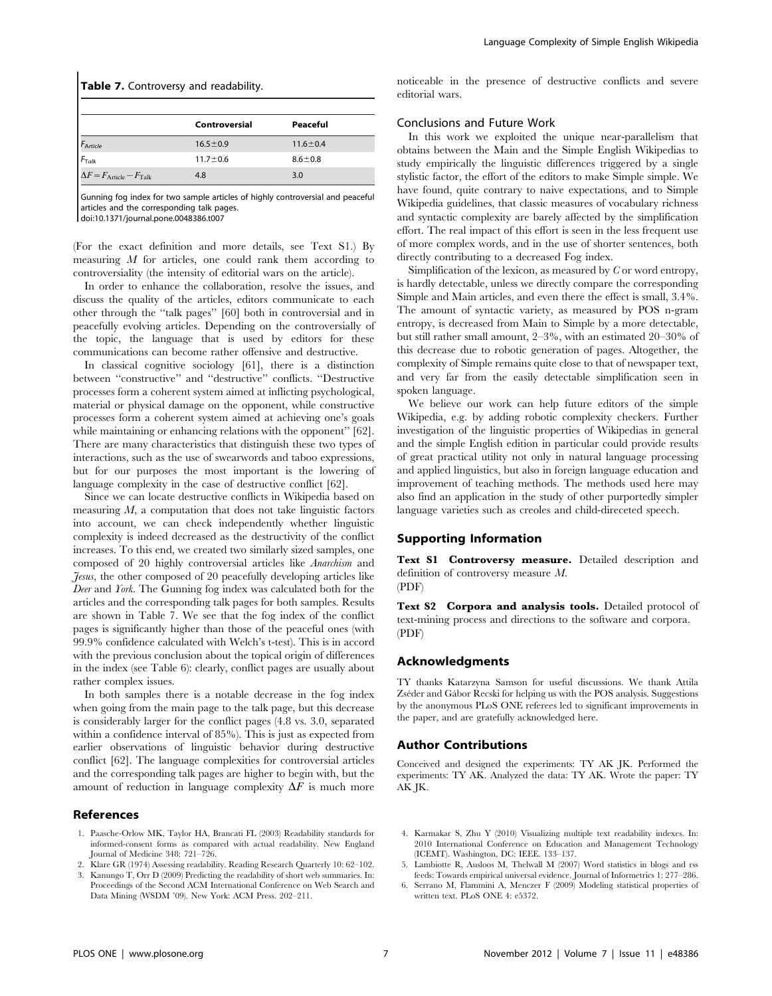|                                                   | Controversial  | Peaceful       |  |
|---------------------------------------------------|----------------|----------------|--|
| $F_{\text{Article}}$                              | $16.5 \pm 0.9$ | $11.6 \pm 0.4$ |  |
| $F_{\mathsf{T}alk}$                               | $11.7 \pm 0.6$ | $8.6 \pm 0.8$  |  |
| $\Delta F = F_{\text{Article}} - F_{\text{Talk}}$ | 4.8            | 3.0            |  |

Gunning fog index for two sample articles of highly controversial and peaceful articles and the corresponding talk pages. doi:10.1371/journal.pone.0048386.t007

(For the exact definition and more details, see Text S1.) By measuring M for articles, one could rank them according to controversiality (the intensity of editorial wars on the article).

In order to enhance the collaboration, resolve the issues, and discuss the quality of the articles, editors communicate to each other through the ''talk pages'' [60] both in controversial and in peacefully evolving articles. Depending on the controversially of the topic, the language that is used by editors for these communications can become rather offensive and destructive.

In classical cognitive sociology [61], there is a distinction between ''constructive'' and ''destructive'' conflicts. ''Destructive processes form a coherent system aimed at inflicting psychological, material or physical damage on the opponent, while constructive processes form a coherent system aimed at achieving one's goals while maintaining or enhancing relations with the opponent" [62]. There are many characteristics that distinguish these two types of interactions, such as the use of swearwords and taboo expressions, but for our purposes the most important is the lowering of language complexity in the case of destructive conflict [62].

Since we can locate destructive conflicts in Wikipedia based on measuring  $M$ , a computation that does not take linguistic factors into account, we can check independently whether linguistic complexity is indeed decreased as the destructivity of the conflict increases. To this end, we created two similarly sized samples, one composed of 20 highly controversial articles like Anarchism and Jesus, the other composed of 20 peacefully developing articles like Deer and York. The Gunning fog index was calculated both for the articles and the corresponding talk pages for both samples. Results are shown in Table 7. We see that the fog index of the conflict pages is significantly higher than those of the peaceful ones (with 99.9% confidence calculated with Welch's t-test). This is in accord with the previous conclusion about the topical origin of differences in the index (see Table 6): clearly, conflict pages are usually about rather complex issues.

In both samples there is a notable decrease in the fog index when going from the main page to the talk page, but this decrease is considerably larger for the conflict pages (4.8 vs. 3.0, separated within a confidence interval of 85%). This is just as expected from earlier observations of linguistic behavior during destructive conflict [62]. The language complexities for controversial articles and the corresponding talk pages are higher to begin with, but the amount of reduction in language complexity  $\Delta F$  is much more

#### References

- 1. Paasche-Orlow MK, Taylor HA, Brancati FL (2003) Readability standards for informed-consent forms as compared with actual readability. New England Journal of Medicine 348: 721–726.
- 2. Klare GR (1974) Assessing readability. Reading Research Quarterly 10: 62–102. 3. Kanungo T, Orr D (2009) Predicting the readability of short web summaries. In:
- Proceedings of the Second ACM International Conference on Web Search and Data Mining (WSDM '09). New York: ACM Press. 202–211.

noticeable in the presence of destructive conflicts and severe editorial wars.

## Conclusions and Future Work

In this work we exploited the unique near-parallelism that obtains between the Main and the Simple English Wikipedias to study empirically the linguistic differences triggered by a single stylistic factor, the effort of the editors to make Simple simple. We have found, quite contrary to naive expectations, and to Simple Wikipedia guidelines, that classic measures of vocabulary richness and syntactic complexity are barely affected by the simplification effort. The real impact of this effort is seen in the less frequent use of more complex words, and in the use of shorter sentences, both directly contributing to a decreased Fog index.

Simplification of the lexicon, as measured by C or word entropy, is hardly detectable, unless we directly compare the corresponding Simple and Main articles, and even there the effect is small, 3.4%. The amount of syntactic variety, as measured by POS n-gram entropy, is decreased from Main to Simple by a more detectable, but still rather small amount, 2–3%, with an estimated 20–30% of this decrease due to robotic generation of pages. Altogether, the complexity of Simple remains quite close to that of newspaper text, and very far from the easily detectable simplification seen in spoken language.

We believe our work can help future editors of the simple Wikipedia, e.g. by adding robotic complexity checkers. Further investigation of the linguistic properties of Wikipedias in general and the simple English edition in particular could provide results of great practical utility not only in natural language processing and applied linguistics, but also in foreign language education and improvement of teaching methods. The methods used here may also find an application in the study of other purportedly simpler language varieties such as creoles and child-direceted speech.

## Supporting Information

Text S1 Controversy measure. Detailed description and definition of controversy measure M. (PDF)

Text S2 Corpora and analysis tools. Detailed protocol of text-mining process and directions to the software and corpora. (PDF)

## Acknowledgments

TY thanks Katarzyna Samson for useful discussions. We thank Attila Zséder and Gábor Recski for helping us with the POS analysis. Suggestions by the anonymous PLoS ONE referees led to significant improvements in the paper, and are gratefully acknowledged here.

#### Author Contributions

Conceived and designed the experiments: TY AK JK. Performed the experiments: TY AK. Analyzed the data: TY AK. Wrote the paper: TY AK JK.

- 4. Karmakar S, Zhu Y (2010) Visualizing multiple text readability indexes. In: 2010 International Conference on Education and Management Technology (ICEMT). Washington, DC: IEEE. 133–137.
- 5. Lambiotte R, Ausloos M, Thelwall M (2007) Word statistics in blogs and rss feeds: Towards empirical universal evidence. Journal of Informetrics 1: 277–286.
- 6. Serrano M, Flammini A, Menczer F (2009) Modeling statistical properties of written text. PLoS ONE 4: e5372.